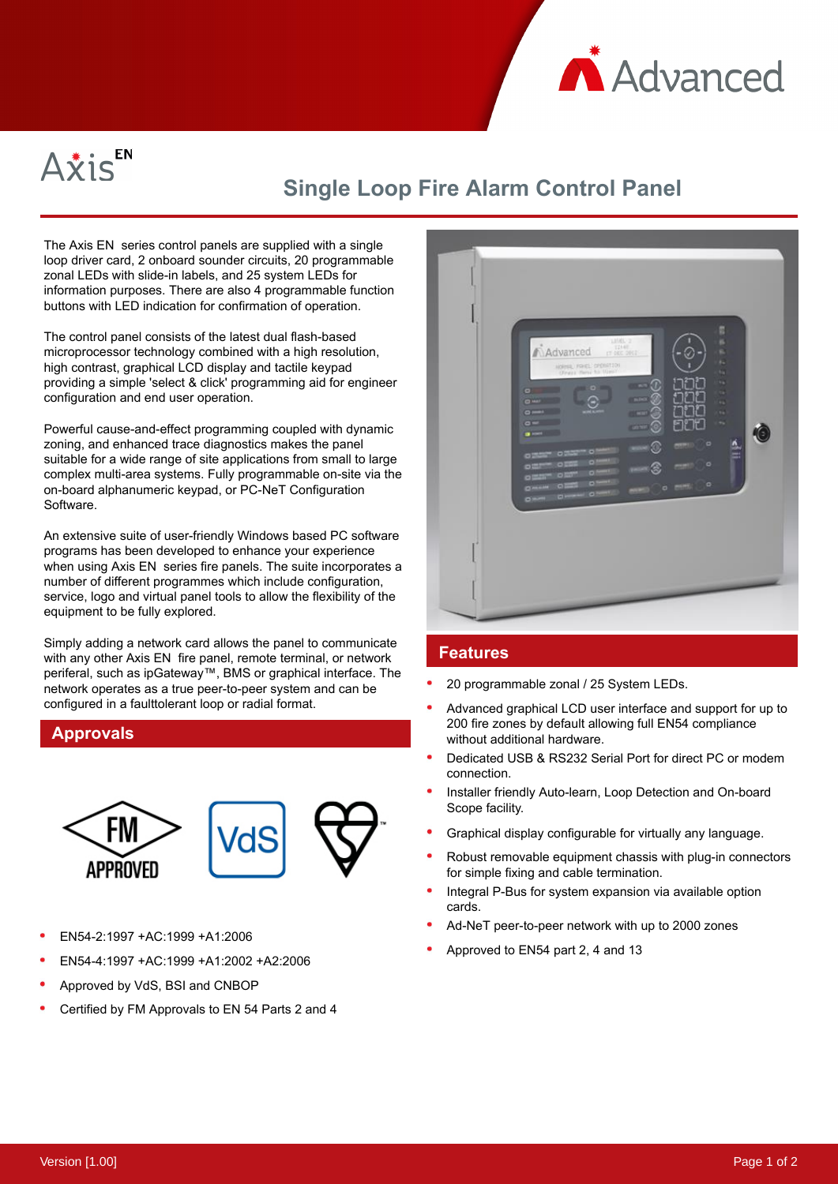



## **Single Loop Fire Alarm Control Panel**

The Axis EN series control panels are supplied with a single loop driver card, 2 onboard sounder circuits, 20 programmable zonal LEDs with slide-in labels, and 25 system LEDs for information purposes. There are also 4 programmable function buttons with LED indication for confirmation of operation.

The control panel consists of the latest dual flash-based microprocessor technology combined with a high resolution, high contrast, graphical LCD display and tactile keypad providing a simple 'select & click' programming aid for engineer configuration and end user operation.

Powerful cause-and-effect programming coupled with dynamic zoning, and enhanced trace diagnostics makes the panel suitable for a wide range of site applications from small to large complex multi-area systems. Fully programmable on-site via the on-board alphanumeric keypad, or PC-NeT Configuration Software.

An extensive suite of user-friendly Windows based PC software programs has been developed to enhance your experience when using Axis EN series fire panels. The suite incorporates a number of different programmes which include configuration, service, logo and virtual panel tools to allow the flexibility of the equipment to be fully explored.

Simply adding a network card allows the panel to communicate with any other Axis EN fire panel, remote terminal, or network periferal, such as ipGateway™, BMS or graphical interface. The network operates as a true peer-to-peer system and can be configured in a faulttolerant loop or radial format.

## **Approvals**



- EN54-2:1997 +AC:1999 +A1:2006
- EN54-4:1997 +AC:1999 +A1:2002 +A2:2006
- Approved by VdS, BSI and CNBOP
- Certified by FM Approvals to EN 54 Parts 2 and 4



## **Features**

- 20 programmable zonal / 25 System LEDs.
- Advanced graphical LCD user interface and support for up to 200 fire zones by default allowing full EN54 compliance without additional hardware.
- Dedicated USB & RS232 Serial Port for direct PC or modem connection.
- Installer friendly Auto-learn, Loop Detection and On-board Scope facility.
- Graphical display configurable for virtually any language.
- Robust removable equipment chassis with plug-in connectors for simple fixing and cable termination.
- Integral P-Bus for system expansion via available option cards.
- Ad-NeT peer-to-peer network with up to 2000 zones
- Approved to EN54 part 2, 4 and 13